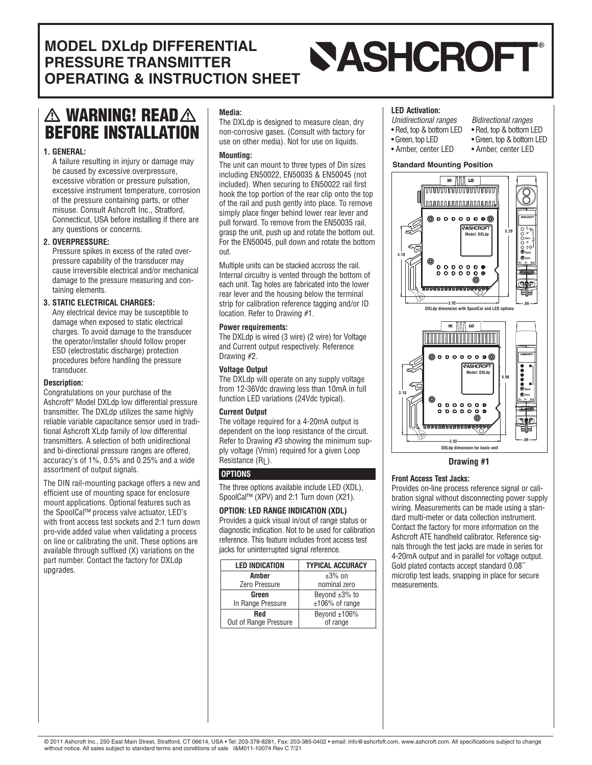#### **MODEL DXLdp DIFFERENTIAL SASHCROFT PRESSURE TRANSMITTER OPERATING & INSTRUCTION SHEET**

## **WARNING! READ BEFORE INSTALLATION**

#### **1. GENERAL:**

A failure resulting in injury or damage may be caused by excessive overpressure, excessive vibration or pressure pulsation, excessive instrument temperature, corrosion of the pressure containing parts, or other misuse. Consult Ashcroft Inc., Stratford, Connecticut, USA before installing if there are any questions or concerns.

#### **2. OVERPRESSURE:**

Pressure spikes in excess of the rated overpressure capability of the transducer may cause irreversible electrical and/or mechanical damage to the pressure measuring and containing elements.

#### **3. STATIC ELECTRICAL CHARGES:**

Any electrical device may be susceptible to damage when exposed to static electrical charges. To avoid damage to the transducer the operator/installer should follow proper ESD (electrostatic discharge) protection procedures before handling the pressure transducer.

#### **Description:**

Congratulations on your purchase of the Ashcroft® Model DXLdp low differential pressure transmitter. The DXLdp utilizes the same highly reliable variable capacitance sensor used in traditional Ashcroft XLdp family of low differential transmitters. A selection of both unidirectional and bi-directional pressure ranges are offered, accuracy's of 1%, 0.5% and 0.25% and a wide assortment of output signals.

The DIN rail-mounting package offers a new and efficient use of mounting space for enclosure mount applications. Optional features such as the SpoolCal™ process valve actuator, LED's with front access test sockets and 2:1 turn down pro-vide added value when validating a process on line or calibrating the unit. These options are available through suffixed (X) variations on the part number. Contact the factory for DXLdp upgrades.

#### **Media:**

The DXLdp is designed to measure clean, dry non-corrosive gases. (Consult with factory for use on other media). Not for use on liquids.

#### **Mounting:**

The unit can mount to three types of Din sizes including EN50022, EN50035 & EN50045 (not included). When securing to EN50022 rail first hook the top portion of the rear clip onto the top of the rail and push gently into place. To remove simply place finger behind lower rear lever and pull forward. To remove from the EN50035 rail, grasp the unit, push up and rotate the bottom out. For the EN50045, pull down and rotate the bottom out.

Multiple units can be stacked accross the rail. Internal circuitry is vented through the bottom of each unit. Tag holes are fabricated into the lower rear lever and the housing below the terminal strip for calibration reference tagging and/or ID location. Refer to Drawing #1.

#### **Power requirements:**

The DXLdp is wired (3 wire) (2 wire) for Voltage and Current output respectively. Reference Drawing #2.

#### **Voltage Output**

The DXLdp will operate on any supply voltage from 12-36Vdc drawing less than 10mA in full function LED variations (24Vdc typical).

#### **Current Output**

The voltage required for a 4-20mA output is dependent on the loop resistance of the circuit. Refer to Drawing #3 showing the minimum supply voltage (Vmin) required for a given Loop Resistance (RL).

#### **OPTIONS**

The three options available include LED (XDL), SpoolCal™ (XPV) and 2:1 Turn down (X21).

#### **OPTION: LED RANGE INDICATION (XDL)**

Provides a quick visual in/out of range status or diagnostic indication. Not to be used for calibration reference. This feature includes front access test jacks for uninterrupted signal reference.

| <b>LED INDICATION</b> | <b>TYPICAL ACCURACY</b> |
|-----------------------|-------------------------|
| Amber                 | $\pm 3\%$ on            |
| Zero Pressure         | nominal zero            |
| Green                 | Beyond $\pm 3\%$ to     |
| In Range Pressure     | ±106% of range          |
| <b>Red</b>            | Beyond ±106%            |
| Out of Range Pressure | of range                |

#### **LED Activation:**

- *Unidirectional ranges Bidirectional ranges*
- 
- Red, top & bottom LED Red, top & bottom LED
- Green, top LED Green, top & bottom LED
- Amber, center LED Amber, center LED

#### **Standard Mounting Position**



**Drawing #1**

#### **Front Access Test Jacks:**

Provides on-line process reference signal or calibration signal without disconnecting power supply wiring. Measurements can be made using a standard multi-meter or data collection instrument. Contact the factory for more information on the Ashcroft ATE handheld calibrator. Reference signals through the test jacks are made in series for 4-20mA output and in parallel for voltage output. Gold plated contacts accept standard 0.08˝ microtip test leads, snapping in place for secure measurements.